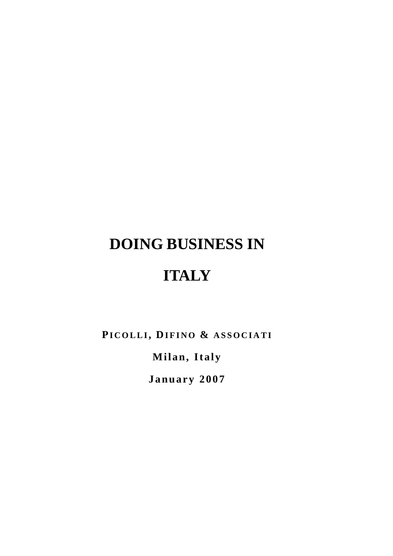## **DOING BUSINESS IN**

## **ITALY**

**PICOLLI, DIFINO & ASSOCIATI**

**Milan, Italy** 

**January 2007**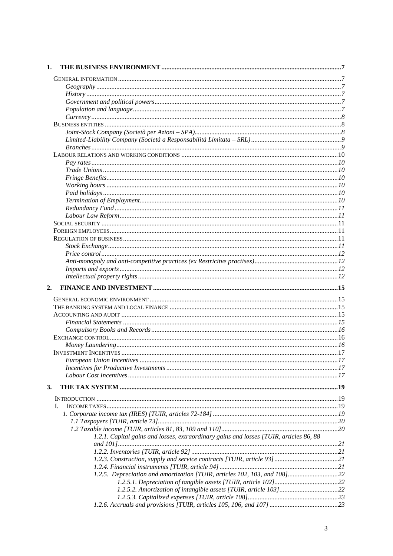| 1.                                                                                     |  |
|----------------------------------------------------------------------------------------|--|
|                                                                                        |  |
|                                                                                        |  |
|                                                                                        |  |
|                                                                                        |  |
|                                                                                        |  |
|                                                                                        |  |
|                                                                                        |  |
|                                                                                        |  |
|                                                                                        |  |
|                                                                                        |  |
|                                                                                        |  |
|                                                                                        |  |
|                                                                                        |  |
|                                                                                        |  |
|                                                                                        |  |
|                                                                                        |  |
|                                                                                        |  |
|                                                                                        |  |
|                                                                                        |  |
|                                                                                        |  |
|                                                                                        |  |
|                                                                                        |  |
|                                                                                        |  |
|                                                                                        |  |
|                                                                                        |  |
|                                                                                        |  |
| 2.                                                                                     |  |
|                                                                                        |  |
|                                                                                        |  |
|                                                                                        |  |
|                                                                                        |  |
|                                                                                        |  |
|                                                                                        |  |
|                                                                                        |  |
|                                                                                        |  |
|                                                                                        |  |
|                                                                                        |  |
|                                                                                        |  |
|                                                                                        |  |
| 3.                                                                                     |  |
|                                                                                        |  |
| L                                                                                      |  |
|                                                                                        |  |
|                                                                                        |  |
|                                                                                        |  |
| 1.2.1. Capital gains and losses, extraordinary gains and losses [TUIR, articles 86, 88 |  |
|                                                                                        |  |
|                                                                                        |  |
|                                                                                        |  |
| 1.2.5. Depreciation and amortization [TUIR, articles 102, 103, and 108]22              |  |
|                                                                                        |  |
|                                                                                        |  |
|                                                                                        |  |
|                                                                                        |  |
|                                                                                        |  |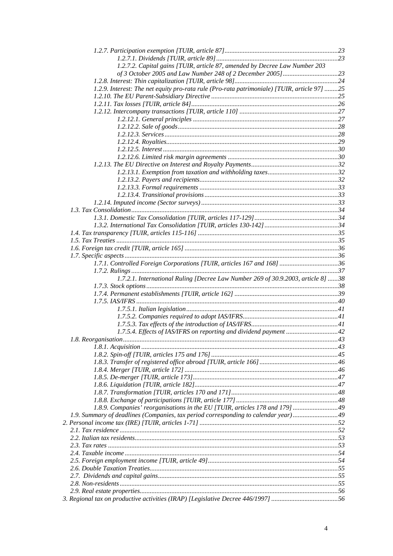| 1.2.7.2. Capital gains [TUIR, article 87, amended by Decree Law Number 203                  |  |
|---------------------------------------------------------------------------------------------|--|
|                                                                                             |  |
|                                                                                             |  |
| 1.2.9. Interest: The net equity pro-rata rule (Pro-rata patrimoniale) [TUIR, article 97] 25 |  |
|                                                                                             |  |
|                                                                                             |  |
|                                                                                             |  |
|                                                                                             |  |
|                                                                                             |  |
|                                                                                             |  |
|                                                                                             |  |
|                                                                                             |  |
|                                                                                             |  |
|                                                                                             |  |
|                                                                                             |  |
|                                                                                             |  |
|                                                                                             |  |
|                                                                                             |  |
|                                                                                             |  |
|                                                                                             |  |
|                                                                                             |  |
|                                                                                             |  |
|                                                                                             |  |
|                                                                                             |  |
|                                                                                             |  |
|                                                                                             |  |
|                                                                                             |  |
| 1.7.1. Controlled Foreign Corporations [TUIR, articles 167 and 168] 36                      |  |
|                                                                                             |  |
| 1.7.2.1. International Ruling [Decree Law Number 269 of 30.9.2003, article 8] 38            |  |
|                                                                                             |  |
|                                                                                             |  |
|                                                                                             |  |
|                                                                                             |  |
|                                                                                             |  |
|                                                                                             |  |
|                                                                                             |  |
|                                                                                             |  |
|                                                                                             |  |
|                                                                                             |  |
|                                                                                             |  |
|                                                                                             |  |
|                                                                                             |  |
|                                                                                             |  |
|                                                                                             |  |
|                                                                                             |  |
|                                                                                             |  |
| 1.8.9. Companies' reorganisations in the EU [TUIR, articles 178 and 179] 49                 |  |
| 1.9. Summary of deadlines (Companies, tax period corresponding to calendar year)49          |  |
|                                                                                             |  |
|                                                                                             |  |
|                                                                                             |  |
|                                                                                             |  |
|                                                                                             |  |
|                                                                                             |  |
|                                                                                             |  |
|                                                                                             |  |
|                                                                                             |  |
|                                                                                             |  |
| 3. Regional tax on productive activities (IRAP) [Legislative Decree 446/1997] 56            |  |